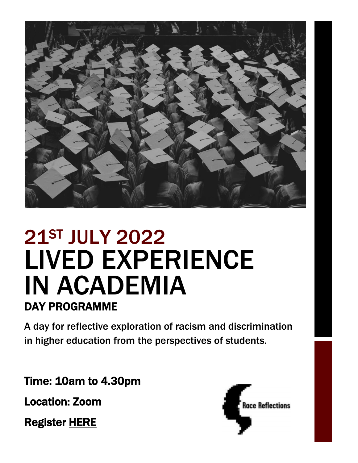

# 21ST JULY 2022 LIVED EXPERIENCE IN ACADEMIA DAY PROGRAMME

A day for reflective exploration of racism and discrimination in higher education from the perspectives of students.

Time: 10am to 4.30pm

Location: Zoom

Register [HERE](https://racereflections.co.uk/register/lived-experience-in-academia/) 

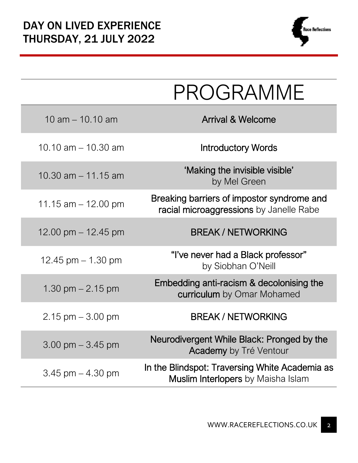

|                       | PROGRAMME                                                                                   |
|-----------------------|---------------------------------------------------------------------------------------------|
| 10 am $-$ 10.10 am    | <b>Arrival &amp; Welcome</b>                                                                |
| 10.10 am $-$ 10.30 am | <b>Introductory Words</b>                                                                   |
| 10.30 $am - 11.15 am$ | 'Making the invisible visible'<br>by Mel Green                                              |
| 11.15 am $-$ 12.00 pm | Breaking barriers of impostor syndrome and<br>racial microaggressions by Janelle Rabe       |
| 12.00 pm $-$ 12.45 pm | <b>BREAK / NETWORKING</b>                                                                   |
| 12.45 pm $-$ 1.30 pm  | "I've never had a Black professor"<br>by Siobhan O'Neill                                    |
| 1.30 pm $-$ 2.15 pm   | Embedding anti-racism & decolonising the<br>curriculum by Omar Mohamed                      |
| $2.15$ pm $-3.00$ pm  | <b>BREAK / NETWORKING</b>                                                                   |
| $3.00$ pm $-3.45$ pm  | Neurodivergent While Black: Pronged by the<br><b>Academy</b> by Tré Ventour                 |
| $3.45$ pm $-4.30$ pm  | In the Blindspot: Traversing White Academia as<br><b>Muslim Interlopers</b> by Maisha Islam |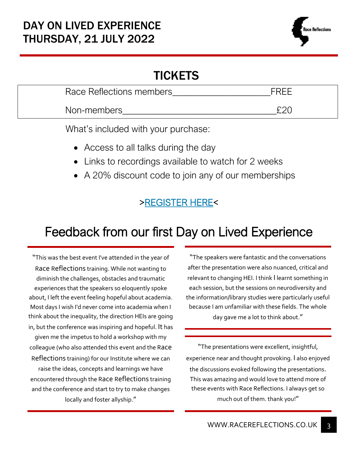### **TICKETS**

| Race Reflections members |     |
|--------------------------|-----|
| Non-members              | nnr |

What's included with your purchase:

- Access to all talks during the day
- Links to recordings available to watch for 2 weeks
- A 20% discount code to join any of our memberships

### [>REGISTER HERE<](https://racereflections.co.uk/register/lived-experience-in-academia/)

## Feedback from our first Day on Lived Experience

"This was the best event I've attended in the year of Race Reflections training. While not wanting to diminish the challenges, obstacles and traumatic experiences that the speakers so eloquently spoke about, I left the event feeling hopeful about academia. Most days I wish I'd never come into academia when I think about the inequality, the direction HEIs are going in, but the conference was inspiring and hopeful. It has given me the impetus to hold a workshop with my colleague (who also attended this event and the Race Reflections training) for our Institute where we can raise the ideas, concepts and learnings we have encountered through the Race Reflections training and the conference and start to try to make changes locally and foster allyship."

"The speakers were fantastic and the conversations after the presentation were also nuanced, critical and relevant to changing HEI. I think I learnt something in each session, but the sessions on neurodiversity and the information/library studies were particularly useful because I am unfamiliar with these fields. The whole day gave me a lot to think about."

"The presentations were excellent, insightful, experience near and thought provoking. I also enjoyed the discussions evoked following the presentations. This was amazing and would love to attend more of these events with Race Reflections. I always get so much out of them. thank you!"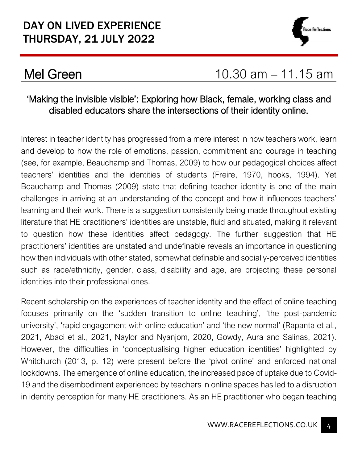

## **Mel Green** 10.30 am – 11.15 am

#### 'Making the invisible visible': Exploring how Black, female, working class and disabled educators share the intersections of their identity online.

Interest in teacher identity has progressed from a mere interest in how teachers work, learn and develop to how the role of emotions, passion, commitment and courage in teaching (see, for example, Beauchamp and Thomas, 2009) to how our pedagogical choices affect teachers' identities and the identities of students (Freire, 1970, hooks, 1994). Yet Beauchamp and Thomas (2009) state that defining teacher identity is one of the main challenges in arriving at an understanding of the concept and how it influences teachers' learning and their work. There is a suggestion consistently being made throughout existing literature that HE practitioners' identities are unstable, fluid and situated, making it relevant to question how these identities affect pedagogy. The further suggestion that HE practitioners' identities are unstated and undefinable reveals an importance in questioning how then individuals with other stated, somewhat definable and socially-perceived identities such as race/ethnicity, gender, class, disability and age, are projecting these personal identities into their professional ones.

Recent scholarship on the experiences of teacher identity and the effect of online teaching focuses primarily on the 'sudden transition to online teaching', 'the post-pandemic university', 'rapid engagement with online education' and 'the new normal' (Rapanta et al., 2021, Abaci et al., 2021, Naylor and Nyanjom, 2020, Gowdy, Aura and Salinas, 2021). However, the difficulties in 'conceptualising higher education identities' highlighted by Whitchurch (2013, p. 12) were present before the 'pivot online' and enforced national lockdowns. The emergence of online education, the increased pace of uptake due to Covid-19 and the disembodiment experienced by teachers in online spaces has led to a disruption in identity perception for many HE practitioners. As an HE practitioner who began teaching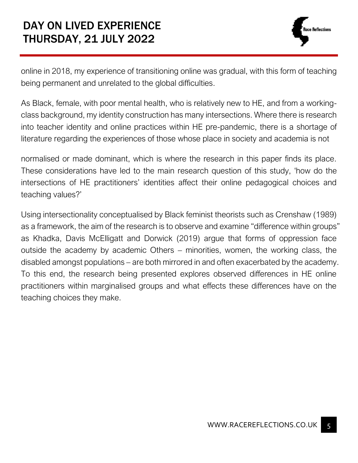### DAY ON LIVED EXPERIENCE THURSDAY, 21 JULY 2022

online in 2018, my experience of transitioning online was gradual, with this form of teaching being permanent and unrelated to the global difficulties.

As Black, female, with poor mental health, who is relatively new to HE, and from a workingclass background, my identity construction has many intersections. Where there is research into teacher identity and online practices within HE pre-pandemic, there is a shortage of literature regarding the experiences of those whose place in society and academia is not

normalised or made dominant, which is where the research in this paper finds its place. These considerations have led to the main research question of this study, 'how do the intersections of HE practitioners' identities affect their online pedagogical choices and teaching values?'

Using intersectionality conceptualised by Black feminist theorists such as Crenshaw (1989) as a framework, the aim of the research is to observe and examine "difference within groups" as Khadka, Davis McElligatt and Dorwick (2019) argue that forms of oppression face outside the academy by academic Others – minorities, women, the working class, the disabled amongst populations – are both mirrored in and often exacerbated by the academy. To this end, the research being presented explores observed differences in HE online practitioners within marginalised groups and what effects these differences have on the teaching choices they make.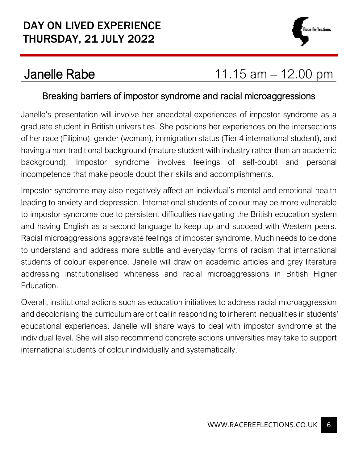

## Janelle Rabe 11.15 am – 12.00 pm

#### Breaking barriers of impostor syndrome and racial microaggressions

Janelle's presentation will involve her anecdotal experiences of impostor syndrome as a graduate student in British universities. She positions her experiences on the intersections of her race (Filipino), gender (woman), immigration status (Tier 4 international student), and having a non-traditional background (mature student with industry rather than an academic background). Impostor syndrome involves feelings of self-doubt and personal incompetence that make people doubt their skills and accomplishments.

Impostor syndrome may also negatively affect an individual's mental and emotional health leading to anxiety and depression. International students of colour may be more vulnerable to impostor syndrome due to persistent difficulties navigating the British education system and having English as a second language to keep up and succeed with Western peers. Racial microaggressions aggravate feelings of imposter syndrome. Much needs to be done to understand and address more subtle and everyday forms of racism that international students of colour experience. Janelle will draw on academic articles and grey literature addressing institutionalised whiteness and racial microaggressions in British Higher Education.

Overall, institutional actions such as education initiatives to address racial microaggression and decolonising the curriculum are critical in responding to inherent inequalities in students' educational experiences. Janelle will share ways to deal with impostor syndrome at the individual level. She will also recommend concrete actions universities may take to support international students of colour individually and systematically.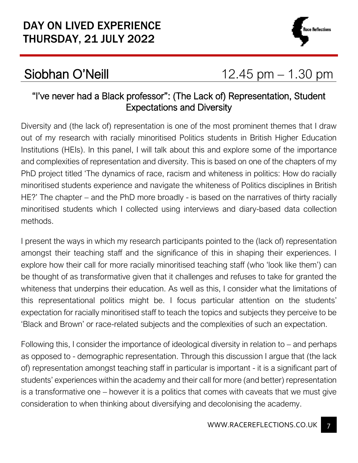### DAY ON LIVED EXPERIENCE THURSDAY, 21 JULY 2022



## Siobhan O'Neill 12.45 pm – 1.30 pm

#### "I've never had a Black professor": (The Lack of) Representation, Student Expectations and Diversity

Diversity and (the lack of) representation is one of the most prominent themes that I draw out of my research with racially minoritised Politics students in British Higher Education Institutions (HEIs). In this panel, I will talk about this and explore some of the importance and complexities of representation and diversity. This is based on one of the chapters of my PhD project titled 'The dynamics of race, racism and whiteness in politics: How do racially minoritised students experience and navigate the whiteness of Politics disciplines in British HE?' The chapter – and the PhD more broadly - is based on the narratives of thirty racially minoritised students which I collected using interviews and diary-based data collection methods.

I present the ways in which my research participants pointed to the (lack of) representation amongst their teaching staff and the significance of this in shaping their experiences. I explore how their call for more racially minoritised teaching staff (who 'look like them') can be thought of as transformative given that it challenges and refuses to take for granted the whiteness that underpins their education. As well as this, I consider what the limitations of this representational politics might be. I focus particular attention on the students' expectation for racially minoritised staff to teach the topics and subjects they perceive to be 'Black and Brown' or race-related subjects and the complexities of such an expectation.

Following this, I consider the importance of ideological diversity in relation to – and perhaps as opposed to - demographic representation. Through this discussion I argue that (the lack of) representation amongst teaching staff in particular is important - it is a significant part of students' experiences within the academy and their call for more (and better) representation is a transformative one – however it is a politics that comes with caveats that we must give consideration to when thinking about diversifying and decolonising the academy.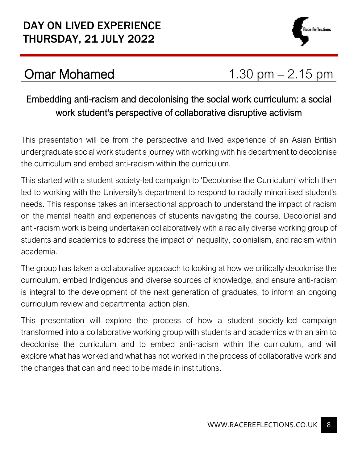

## Omar Mohamed 1.30 pm – 2.15 pm

### Embedding anti-racism and decolonising the social work curriculum: a social work student's perspective of collaborative disruptive activism

This presentation will be from the perspective and lived experience of an Asian British undergraduate social work student's journey with working with his department to decolonise the curriculum and embed anti-racism within the curriculum.

This started with a student society-led campaign to 'Decolonise the Curriculum' which then led to working with the University's department to respond to racially minoritised student's needs. This response takes an intersectional approach to understand the impact of racism on the mental health and experiences of students navigating the course. Decolonial and anti-racism work is being undertaken collaboratively with a racially diverse working group of students and academics to address the impact of inequality, colonialism, and racism within academia.

The group has taken a collaborative approach to looking at how we critically decolonise the curriculum, embed Indigenous and diverse sources of knowledge, and ensure anti-racism is integral to the development of the next generation of graduates, to inform an ongoing curriculum review and departmental action plan.

This presentation will explore the process of how a student society-led campaign transformed into a collaborative working group with students and academics with an aim to decolonise the curriculum and to embed anti-racism within the curriculum, and will explore what has worked and what has not worked in the process of collaborative work and the changes that can and need to be made in institutions.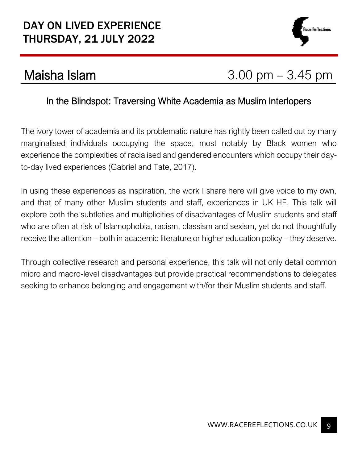### DAY ON LIVED EXPERIENCE THURSDAY, 21 JULY 2022



## Maisha Islam  $3.00 \text{ pm} - 3.45 \text{ pm}$

#### In the Blindspot: Traversing White Academia as Muslim Interlopers

The ivory tower of academia and its problematic nature has rightly been called out by many marginalised individuals occupying the space, most notably by Black women who experience the complexities of racialised and gendered encounters which occupy their dayto-day lived experiences (Gabriel and Tate, 2017).

In using these experiences as inspiration, the work I share here will give voice to my own, and that of many other Muslim students and staff, experiences in UK HE. This talk will explore both the subtleties and multiplicities of disadvantages of Muslim students and staff who are often at risk of Islamophobia, racism, classism and sexism, yet do not thoughtfully receive the attention – both in academic literature or higher education policy – they deserve.

Through collective research and personal experience, this talk will not only detail common micro and macro-level disadvantages but provide practical recommendations to delegates seeking to enhance belonging and engagement with/for their Muslim students and staff.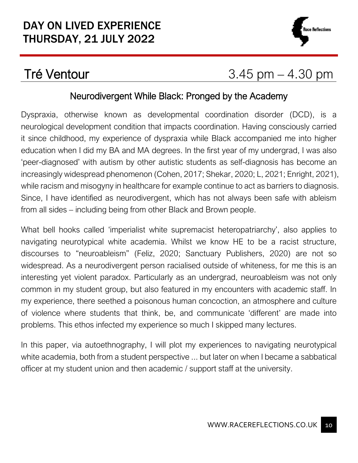

## $Tré Ventour$  3.45 pm  $-$  4.30 pm

#### Neurodivergent While Black: Pronged by the Academy

Dyspraxia, otherwise known as developmental coordination disorder (DCD), is a neurological development condition that impacts coordination. Having consciously carried it since childhood, my experience of dyspraxia while Black accompanied me into higher education when I did my BA and MA degrees. In the first year of my undergrad, I was also 'peer-diagnosed' with autism by other autistic students as self-diagnosis has become an increasingly widespread phenomenon (Cohen, 2017; Shekar, 2020; L, 2021; Enright, 2021), while racism and misogyny in healthcare for example continue to act as barriers to diagnosis. Since, I have identified as neurodivergent, which has not always been safe with ableism from all sides – including being from other Black and Brown people.

What bell hooks called 'imperialist white supremacist heteropatriarchy', also applies to navigating neurotypical white academia. Whilst we know HE to be a racist structure, discourses to "neuroableism" (Feliz, 2020; Sanctuary Publishers, 2020) are not so widespread. As a neurodivergent person racialised outside of whiteness, for me this is an interesting yet violent paradox. Particularly as an undergrad, neuroableism was not only common in my student group, but also featured in my encounters with academic staff. In my experience, there seethed a poisonous human concoction, an atmosphere and culture of violence where students that think, be, and communicate 'different' are made into problems. This ethos infected my experience so much I skipped many lectures.

In this paper, via autoethnography, I will plot my experiences to navigating neurotypical white academia, both from a student perspective ... but later on when I became a sabbatical officer at my student union and then academic / support staff at the university.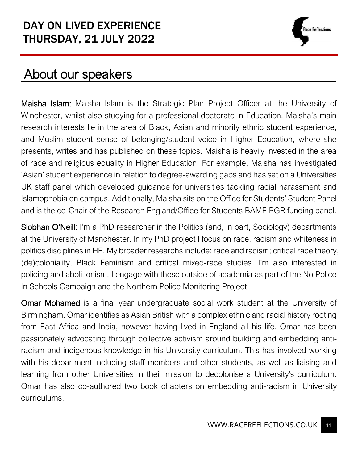

## About our speakers

Maisha Islam: Maisha Islam is the Strategic Plan Project Officer at the University of Winchester, whilst also studying for a professional doctorate in Education. Maisha's main research interests lie in the area of Black, Asian and minority ethnic student experience, and Muslim student sense of belonging/student voice in Higher Education, where she presents, writes and has published on these topics. Maisha is heavily invested in the area of race and religious equality in Higher Education. For example, Maisha has investigated 'Asian' student experience in relation to degree-awarding gaps and has sat on a Universities UK staff panel which developed guidance for universities tackling racial harassment and Islamophobia on campus. Additionally, Maisha sits on the Office for Students' Student Panel and is the co-Chair of the Research England/Office for Students BAME PGR funding panel.

Siobhan O'Neill: I'm a PhD researcher in the Politics (and, in part, Sociology) departments at the University of Manchester. In my PhD project I focus on race, racism and whiteness in politics disciplines in HE. My broader researchs include: race and racism; critical race theory, (de)coloniality, Black Feminism and critical mixed-race studies. I'm also interested in policing and abolitionism, I engage with these outside of academia as part of the No Police In Schools Campaign and the Northern Police Monitoring Project.

Omar Mohamed is a final year undergraduate social work student at the University of Birmingham. Omar identifies as Asian British with a complex ethnic and racial history rooting from East Africa and India, however having lived in England all his life. Omar has been passionately advocating through collective activism around building and embedding antiracism and indigenous knowledge in his University curriculum. This has involved working with his department including staff members and other students, as well as liaising and learning from other Universities in their mission to decolonise a University's curriculum. Omar has also co-authored two book chapters on embedding anti-racism in University curriculums.